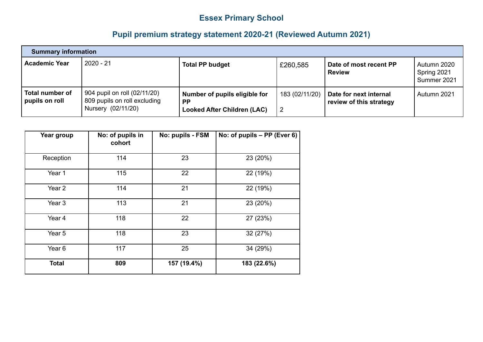## **Essex Primary School**

## **Pupil premium strategy statement 2020-21 (Reviewed Autumn 2021)**

| <b>Summary information</b>               |                                                                                    |                                                                                  |                                  |                                                   |                                             |
|------------------------------------------|------------------------------------------------------------------------------------|----------------------------------------------------------------------------------|----------------------------------|---------------------------------------------------|---------------------------------------------|
| <b>Academic Year</b>                     | $2020 - 21$                                                                        | <b>Total PP budget</b>                                                           | £260,585                         | Date of most recent PP<br><b>Review</b>           | l Autumn 2020<br>Spring 2021<br>Summer 2021 |
| <b>Total number of</b><br>pupils on roll | 904 pupil on roll (02/11/20)<br>809 pupils on roll excluding<br>Nursery (02/11/20) | Number of pupils eligible for<br><b>PP</b><br><b>Looked After Children (LAC)</b> | 183 (02/11/20)<br>$\overline{2}$ | Date for next internal<br>review of this strategy | Autumn 2021                                 |

| Year group        | No: of pupils in<br>cohort | No: pupils - FSM | No: of pupils - PP (Ever 6) |
|-------------------|----------------------------|------------------|-----------------------------|
| Reception         | 114                        | 23               | 23 (20%)                    |
| Year 1            | 115                        | 22               | 22 (19%)                    |
| Year <sub>2</sub> | 114                        | 21               | 22 (19%)                    |
| Year <sub>3</sub> | 113                        | 21               | 23 (20%)                    |
| Year 4            | 118                        | 22               | 27 (23%)                    |
| Year 5            | 118                        | 23               | 32 (27%)                    |
| Year 6            | 117                        | 25               | 34 (29%)                    |
| <b>Total</b>      | 809                        | 157 (19.4%)      | 183 (22.6%)                 |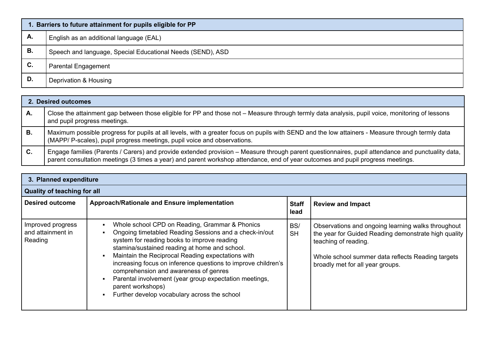|                | 1. Barriers to future attainment for pupils eligible for PP |  |  |  |
|----------------|-------------------------------------------------------------|--|--|--|
| А.             | English as an additional language (EAL)                     |  |  |  |
| В.             | Speech and language, Special Educational Needs (SEND), ASD  |  |  |  |
| C <sub>1</sub> | <b>Parental Engagement</b>                                  |  |  |  |
| D.             | Deprivation & Housing                                       |  |  |  |

|    | 2. Desired outcomes                                                                                                                                                                                                                                                                  |  |  |  |  |
|----|--------------------------------------------------------------------------------------------------------------------------------------------------------------------------------------------------------------------------------------------------------------------------------------|--|--|--|--|
| А. | Close the attainment gap between those eligible for PP and those not - Measure through termly data analysis, pupil voice, monitoring of lessons<br>and pupil progress meetings.                                                                                                      |  |  |  |  |
| В. | Maximum possible progress for pupils at all levels, with a greater focus on pupils with SEND and the low attainers - Measure through termly data<br>(MAPP/ P-scales), pupil progress meetings, pupil voice and observations.                                                         |  |  |  |  |
| C. | Engage families (Parents / Carers) and provide extended provision – Measure through parent questionnaires, pupil attendance and punctuality data,<br>parent consultation meetings (3 times a year) and parent workshop attendance, end of year outcomes and pupil progress meetings. |  |  |  |  |

| 3. Planned expenditure                            |                                                                                                                                                                                                                                                                                                                                                                                                                                                                                                        |                      |                                                                                                                                                                                                                             |  |  |
|---------------------------------------------------|--------------------------------------------------------------------------------------------------------------------------------------------------------------------------------------------------------------------------------------------------------------------------------------------------------------------------------------------------------------------------------------------------------------------------------------------------------------------------------------------------------|----------------------|-----------------------------------------------------------------------------------------------------------------------------------------------------------------------------------------------------------------------------|--|--|
| <b>Quality of teaching for all</b>                |                                                                                                                                                                                                                                                                                                                                                                                                                                                                                                        |                      |                                                                                                                                                                                                                             |  |  |
| <b>Desired outcome</b>                            | Approach/Rationale and Ensure implementation                                                                                                                                                                                                                                                                                                                                                                                                                                                           | <b>Staff</b><br>lead | <b>Review and Impact</b>                                                                                                                                                                                                    |  |  |
| Improved progress<br>and attainment in<br>Reading | Whole school CPD on Reading, Grammar & Phonics<br>Ongoing timetabled Reading Sessions and a check-in/out<br>system for reading books to improve reading<br>stamina/sustained reading at home and school.<br>Maintain the Reciprocal Reading expectations with<br>increasing focus on inference questions to improve children's<br>comprehension and awareness of genres<br>Parental involvement (year group expectation meetings,<br>parent workshops)<br>Further develop vocabulary across the school | BS/<br><b>SH</b>     | Observations and ongoing learning walks throughout<br>the year for Guided Reading demonstrate high quality<br>teaching of reading.<br>Whole school summer data reflects Reading targets<br>broadly met for all year groups. |  |  |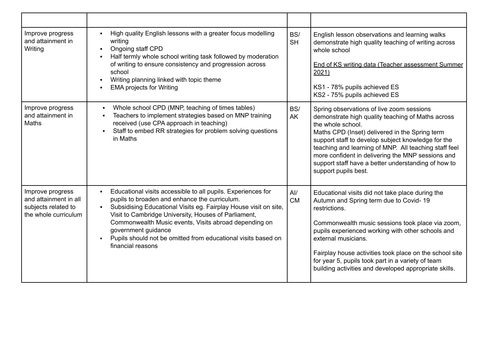| Improve progress<br>and attainment in<br>Writing                                         | High quality English lessons with a greater focus modelling<br>$\blacksquare$<br>writing<br>Ongoing staff CPD<br>Half termly whole school writing task followed by moderation<br>of writing to ensure consistency and progression across<br>school<br>Writing planning linked with topic theme<br><b>EMA projects for Writing</b>                                                                                                 | BS/<br><b>SH</b> | English lesson observations and learning walks<br>demonstrate high quality teaching of writing across<br>whole school<br>End of KS writing data (Teacher assessment Summer<br>2021)<br>KS1 - 78% pupils achieved ES<br>KS2 - 75% pupils achieved ES                                                                                                                                                                      |
|------------------------------------------------------------------------------------------|-----------------------------------------------------------------------------------------------------------------------------------------------------------------------------------------------------------------------------------------------------------------------------------------------------------------------------------------------------------------------------------------------------------------------------------|------------------|--------------------------------------------------------------------------------------------------------------------------------------------------------------------------------------------------------------------------------------------------------------------------------------------------------------------------------------------------------------------------------------------------------------------------|
| Improve progress<br>and attainment in<br><b>Maths</b>                                    | Whole school CPD (MNP, teaching of times tables)<br>Teachers to implement strategies based on MNP training<br>received (use CPA approach in teaching)<br>Staff to embed RR strategies for problem solving questions<br>in Maths                                                                                                                                                                                                   | BS/<br>AK        | Spring observations of live zoom sessions<br>demonstrate high quality teaching of Maths across<br>the whole school.<br>Maths CPD (Inset) delivered in the Spring term<br>support staff to develop subject knowledge for the<br>teaching and learning of MNP. All teaching staff feel<br>more confident in delivering the MNP sessions and<br>support staff have a better understanding of how to<br>support pupils best. |
| Improve progress<br>and attainment in all<br>subjects related to<br>the whole curriculum | Educational visits accessible to all pupils. Experiences for<br>$\blacksquare$<br>pupils to broaden and enhance the curriculum.<br>Subsidising Educational Visits eg. Fairplay House visit on site,<br>Visit to Cambridge University, Houses of Parliament,<br>Commonwealth Music events, Visits abroad depending on<br>government guidance<br>Pupils should not be omitted from educational visits based on<br>financial reasons | Al/<br><b>CM</b> | Educational visits did not take place during the<br>Autumn and Spring term due to Covid-19<br>restrictions.<br>Commonwealth music sessions took place via zoom,<br>pupils experienced working with other schools and<br>external musicians.<br>Fairplay house activities took place on the school site<br>for year 5, pupils took part in a variety of team<br>building activities and developed appropriate skills.     |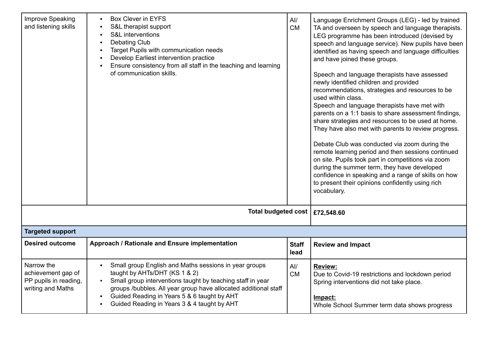| <b>Improve Speaking</b><br>and listening skills                                | Box Clever in EYFS<br>S&L therapist support<br>S&L interventions<br>$\blacksquare$<br><b>Debating Club</b><br>$\blacksquare$<br>Target Pupils with communication needs<br>$\blacksquare$<br>Develop Earliest intervention practice<br>$\blacksquare$<br>Ensure consistency from all staff in the teaching and learning<br>of communication skills. | AI/<br><b>CM</b>     | Language Enrichment Groups (LEG) - led by trained<br>TA and overseen by speech and language therapists.<br>LEG programme has been introduced (devised by<br>speech and language service). New pupils have been<br>identified as having speech and language difficulties<br>and have joined these groups.<br>Speech and language therapists have assessed<br>newly identified children and provided<br>recommendations, strategies and resources to be<br>used within class.<br>Speech and language therapists have met with<br>parents on a 1:1 basis to share assessment findings,<br>share strategies and resources to be used at home.<br>They have also met with parents to review progress.<br>Debate Club was conducted via zoom during the<br>remote learning period and then sessions continued<br>on site. Pupils took part in competitions via zoom<br>during the summer term, they have developed<br>confidence in speaking and a range of skills on how<br>to present their opinions confidently using rich<br>vocabulary. |
|--------------------------------------------------------------------------------|----------------------------------------------------------------------------------------------------------------------------------------------------------------------------------------------------------------------------------------------------------------------------------------------------------------------------------------------------|----------------------|----------------------------------------------------------------------------------------------------------------------------------------------------------------------------------------------------------------------------------------------------------------------------------------------------------------------------------------------------------------------------------------------------------------------------------------------------------------------------------------------------------------------------------------------------------------------------------------------------------------------------------------------------------------------------------------------------------------------------------------------------------------------------------------------------------------------------------------------------------------------------------------------------------------------------------------------------------------------------------------------------------------------------------------|
|                                                                                | Total budgeted cost   £72,548.60                                                                                                                                                                                                                                                                                                                   |                      |                                                                                                                                                                                                                                                                                                                                                                                                                                                                                                                                                                                                                                                                                                                                                                                                                                                                                                                                                                                                                                        |
| <b>Targeted support</b>                                                        |                                                                                                                                                                                                                                                                                                                                                    |                      |                                                                                                                                                                                                                                                                                                                                                                                                                                                                                                                                                                                                                                                                                                                                                                                                                                                                                                                                                                                                                                        |
| <b>Desired outcome</b>                                                         | Approach / Rationale and Ensure implementation                                                                                                                                                                                                                                                                                                     | <b>Staff</b><br>lead | <b>Review and Impact</b>                                                                                                                                                                                                                                                                                                                                                                                                                                                                                                                                                                                                                                                                                                                                                                                                                                                                                                                                                                                                               |
| Narrow the<br>achievement gap of<br>PP pupils in reading,<br>writing and Maths | Small group English and Maths sessions in year groups<br>taught by AHTs/DHT (KS 1 & 2)<br>Small group interventions taught by teaching staff in year<br>groups /bubbles. All year group have allocated additional staff<br>Guided Reading in Years 5 & 6 taught by AHT<br>$\blacksquare$<br>Guided Reading in Years 3 & 4 taught by AHT            | AI/<br><b>CM</b>     | <b>Review:</b><br>Due to Covid-19 restrictions and lockdown period<br>Spring interventions did not take place.<br>Impact:<br>Whole School Summer term data shows progress                                                                                                                                                                                                                                                                                                                                                                                                                                                                                                                                                                                                                                                                                                                                                                                                                                                              |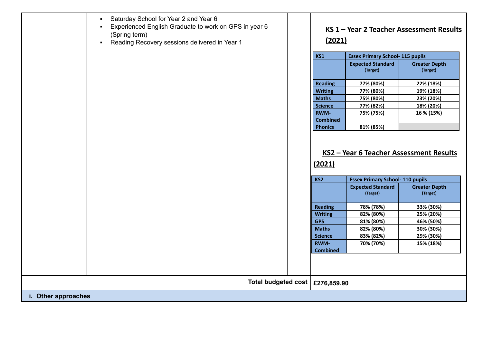|                     | Saturday School for Year 2 and Year 6<br>$\blacksquare$<br>Experienced English Graduate to work on GPS in year 6<br>$\blacksquare$<br>(Spring term)<br>Reading Recovery sessions delivered in Year 1<br>$\blacksquare$ | (2021)                         |                                         | KS 1 - Year 2 Teacher Assessment Results |
|---------------------|------------------------------------------------------------------------------------------------------------------------------------------------------------------------------------------------------------------------|--------------------------------|-----------------------------------------|------------------------------------------|
|                     |                                                                                                                                                                                                                        | <b>KS1</b>                     | <b>Essex Primary School- 115 pupils</b> |                                          |
|                     |                                                                                                                                                                                                                        |                                | <b>Expected Standard</b><br>(Target)    | <b>Greater Depth</b><br>(Target)         |
|                     |                                                                                                                                                                                                                        | <b>Reading</b>                 | 77% (80%)                               | 22% (18%)                                |
|                     |                                                                                                                                                                                                                        | <b>Writing</b>                 | 77% (80%)                               | 19% (18%)                                |
|                     |                                                                                                                                                                                                                        | <b>Maths</b>                   | 75% (80%)                               | 23% (20%)                                |
|                     |                                                                                                                                                                                                                        | <b>Science</b>                 | 77% (82%)                               | 18% (20%)                                |
|                     |                                                                                                                                                                                                                        | <b>RWM-</b><br><b>Combined</b> | 75% (75%)                               | 16 % (15%)                               |
|                     |                                                                                                                                                                                                                        | <b>Phonics</b>                 | 81% (85%)                               |                                          |
|                     |                                                                                                                                                                                                                        | (2021)<br>KS <sub>2</sub>      | <b>Essex Primary School-110 pupils</b>  |                                          |
|                     |                                                                                                                                                                                                                        |                                | <b>Expected Standard</b><br>(Target)    | <b>Greater Depth</b><br>(Target)         |
|                     |                                                                                                                                                                                                                        | <b>Reading</b>                 | 78% (78%)                               | 33% (30%)                                |
|                     |                                                                                                                                                                                                                        | <b>Writing</b>                 | 82% (80%)                               | 25% (20%)                                |
|                     |                                                                                                                                                                                                                        | <b>GPS</b>                     | 81% (80%)                               | 46% (50%)                                |
|                     |                                                                                                                                                                                                                        | <b>Maths</b>                   | 82% (80%)                               | 30% (30%)                                |
|                     |                                                                                                                                                                                                                        | <b>Science</b>                 | 83% (82%)                               | 29% (30%)                                |
|                     |                                                                                                                                                                                                                        | <b>RWM-</b><br><b>Combined</b> | 70% (70%)                               | 15% (18%)                                |
|                     |                                                                                                                                                                                                                        |                                |                                         |                                          |
|                     | Total budgeted cost                                                                                                                                                                                                    | £276,859.90                    |                                         |                                          |
| i. Other approaches |                                                                                                                                                                                                                        |                                |                                         |                                          |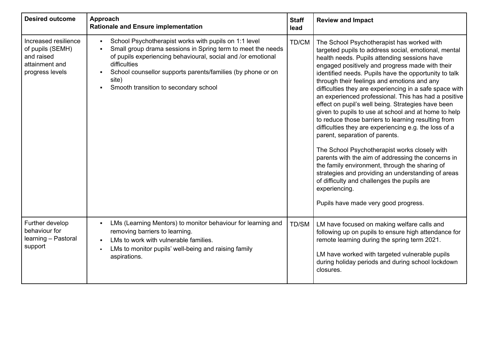| <b>Desired outcome</b>                                                                      | Approach<br><b>Rationale and Ensure implementation</b>                                                                                                                                                                                                                                                                                  | <b>Staff</b><br>lead | <b>Review and Impact</b>                                                                                                                                                                                                                                                                                                                                                                                                                                                                                                                                                                                                                                                                                                                                                                                                                                                                                                                                                                                                |
|---------------------------------------------------------------------------------------------|-----------------------------------------------------------------------------------------------------------------------------------------------------------------------------------------------------------------------------------------------------------------------------------------------------------------------------------------|----------------------|-------------------------------------------------------------------------------------------------------------------------------------------------------------------------------------------------------------------------------------------------------------------------------------------------------------------------------------------------------------------------------------------------------------------------------------------------------------------------------------------------------------------------------------------------------------------------------------------------------------------------------------------------------------------------------------------------------------------------------------------------------------------------------------------------------------------------------------------------------------------------------------------------------------------------------------------------------------------------------------------------------------------------|
| Increased resilience<br>of pupils (SEMH)<br>and raised<br>attainment and<br>progress levels | School Psychotherapist works with pupils on 1:1 level<br>$\blacksquare$<br>Small group drama sessions in Spring term to meet the needs<br>of pupils experiencing behavioural, social and /or emotional<br>difficulties<br>School counsellor supports parents/families (by phone or on<br>site)<br>Smooth transition to secondary school | TD/CM                | The School Psychotherapist has worked with<br>targeted pupils to address social, emotional, mental<br>health needs. Pupils attending sessions have<br>engaged positively and progress made with their<br>identified needs. Pupils have the opportunity to talk<br>through their feelings and emotions and any<br>difficulties they are experiencing in a safe space with<br>an experienced professional. This has had a positive<br>effect on pupil's well being. Strategies have been<br>given to pupils to use at school and at home to help<br>to reduce those barriers to learning resulting from<br>difficulties they are experiencing e.g. the loss of a<br>parent, separation of parents.<br>The School Psychotherapist works closely with<br>parents with the aim of addressing the concerns in<br>the family environment, through the sharing of<br>strategies and providing an understanding of areas<br>of difficulty and challenges the pupils are<br>experiencing.<br>Pupils have made very good progress. |
| Further develop<br>behaviour for<br>learning - Pastoral<br>support                          | LMs (Learning Mentors) to monitor behaviour for learning and<br>removing barriers to learning.<br>LMs to work with vulnerable families.<br>LMs to monitor pupils' well-being and raising family<br>aspirations.                                                                                                                         | TD/SM                | LM have focused on making welfare calls and<br>following up on pupils to ensure high attendance for<br>remote learning during the spring term 2021.<br>LM have worked with targeted vulnerable pupils<br>during holiday periods and during school lockdown<br>closures.                                                                                                                                                                                                                                                                                                                                                                                                                                                                                                                                                                                                                                                                                                                                                 |